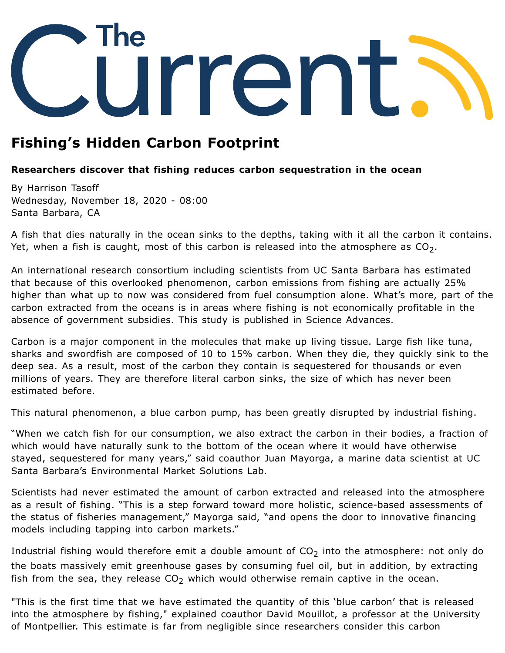

## **Fishing's Hidden Carbon Footprint**

## **Researchers discover that fishing reduces carbon sequestration in the ocean**

By Harrison Tasoff Wednesday, November 18, 2020 - 08:00 Santa Barbara, CA

A fish that dies naturally in the ocean sinks to the depths, taking with it all the carbon it contains. Yet, when a fish is caught, most of this carbon is released into the atmosphere as  ${\rm CO}_2.$ 

An international research consortium including scientists from UC Santa Barbara has estimated that because of this overlooked phenomenon, carbon emissions from fishing are actually 25% higher than what up to now was considered from fuel consumption alone. What's more, part of the carbon extracted from the oceans is in areas where fishing is not economically profitable in the absence of government subsidies. This study is published in Science [Advances](https://advances.sciencemag.org/content/6/44/eabb4848).

Carbon is a major component in the molecules that make up living tissue. Large fish like tuna, sharks and swordfish are composed of 10 to 15% carbon. When they die, they quickly sink to the deep sea. As a result, most of the carbon they contain is sequestered for thousands or even millions of years. They are therefore literal carbon sinks, the size of which has never been estimated before.

This natural phenomenon, a blue carbon pump, has been greatly disrupted by industrial fishing.

"When we catch fish for our consumption, we also extract the carbon in their bodies, a fraction of which would have naturally sunk to the bottom of the ocean where it would have otherwise stayed, sequestered for many years," said coauthor Juan [Mayorga,](http://jsmayorga.com/) a marine data scientist at UC Santa Barbara's Environmental Market Solutions Lab.

Scientists had never estimated the amount of carbon extracted and released into the atmosphere as a result of fishing. "This is a step forward toward more holistic, science-based assessments of the status of fisheries management," Mayorga said, "and opens the door to innovative financing models including tapping into carbon markets."

Industrial fishing would therefore emit a double amount of  $\textsf{CO}_2$  into the atmosphere: not only do the boats massively emit greenhouse gases by consuming fuel oil, but in addition, by extracting fish from the sea, they release  $CO<sub>2</sub>$  which would otherwise remain captive in the ocean.

"This is the first time that we have estimated the quantity of this 'blue carbon' that is released into the atmosphere by fishing," explained coauthor David Mouillot, a professor at the University of Montpellier. This estimate is far from negligible since researchers consider this carbon